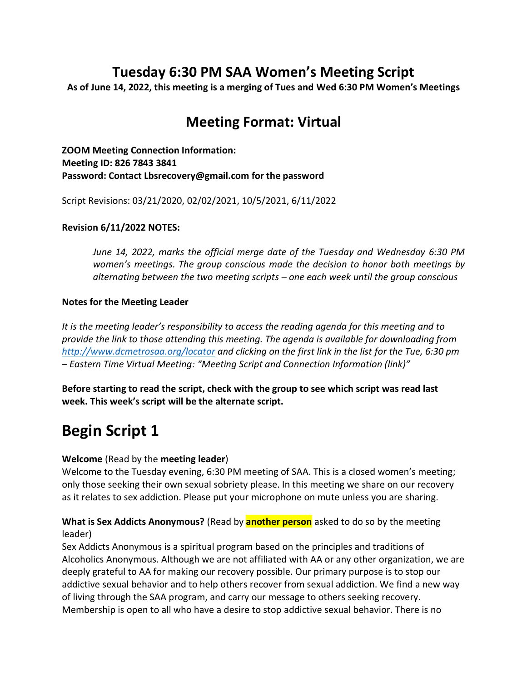## **Tuesday 6:30 PM SAA Women's Meeting Script**

**As of June 14, 2022, this meeting is a merging of Tues and Wed 6:30 PM Women's Meetings**

## **Meeting Format: Virtual**

**ZOOM Meeting Connection Information: Meeting ID: 826 7843 3841 Password: Contact Lbsrecovery@gmail.com for the password** 

Script Revisions: 03/21/2020, 02/02/2021, 10/5/2021, 6/11/2022

### **Revision 6/11/2022 NOTES:**

*June 14, 2022, marks the official merge date of the Tuesday and Wednesday 6:30 PM women's meetings. The group conscious made the decision to honor both meetings by alternating between the two meeting scripts – one each week until the group conscious* 

### **Notes for the Meeting Leader**

*It is the meeting leader's responsibility to access the reading agenda for this meeting and to provide the link to those attending this meeting. The agenda is available for downloading from <http://www.dcmetrosaa.org/locator> and clicking on the first link in the list for the Tue, 6:30 pm – Eastern Time Virtual Meeting: "Meeting Script and Connection Information (link)"*

**Before starting to read the script, check with the group to see which script was read last week. This week's script will be the alternate script.** 

# **Begin Script 1**

## **Welcome** (Read by the **meeting leader**)

Welcome to the Tuesday evening, 6:30 PM meeting of SAA. This is a closed women's meeting; only those seeking their own sexual sobriety please. In this meeting we share on our recovery as it relates to sex addiction. Please put your microphone on mute unless you are sharing.

## **What is Sex Addicts Anonymous?** (Read by **another person** asked to do so by the meeting leader)

Sex Addicts Anonymous is a spiritual program based on the principles and traditions of Alcoholics Anonymous. Although we are not affiliated with AA or any other organization, we are deeply grateful to AA for making our recovery possible. Our primary purpose is to stop our addictive sexual behavior and to help others recover from sexual addiction. We find a new way of living through the SAA program, and carry our message to others seeking recovery. Membership is open to all who have a desire to stop addictive sexual behavior. There is no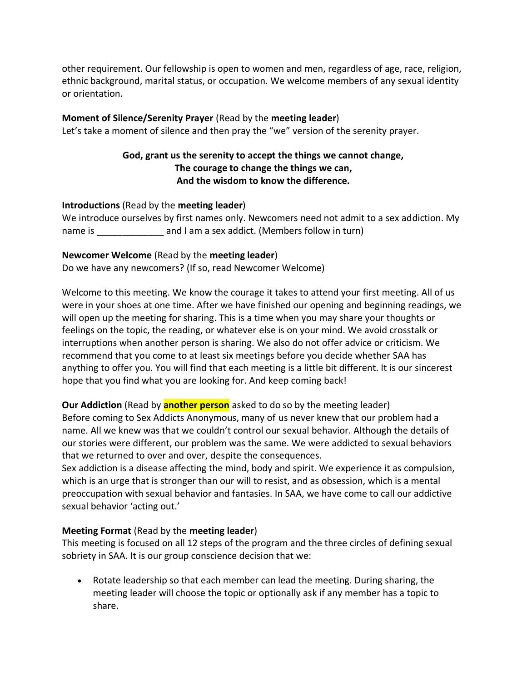other requirement. Our fellowship is open to women and men, regardless of age, race, religion, ethnic background, marital status, or occupation. We welcome members of any sexual identity or orientation.

### **Moment of Silence/Serenity Prayer** (Read by the **meeting leader**)

Let's take a moment of silence and then pray the "we" version of the serenity prayer.

## **God, grant us the serenity to accept the things we cannot change, The courage to change the things we can, And the wisdom to know the difference.**

### **Introductions** (Read by the **meeting leader**)

|         | We introduce ourselves by first names only. Newcomers need not admit to a sex addiction. My |
|---------|---------------------------------------------------------------------------------------------|
| name is | and I am a sex addict. (Members follow in turn)                                             |

### **Newcomer Welcome** (Read by the **meeting leader**)

Do we have any newcomers? (If so, read Newcomer Welcome)

Welcome to this meeting. We know the courage it takes to attend your first meeting. All of us were in your shoes at one time. After we have finished our opening and beginning readings, we will open up the meeting for sharing. This is a time when you may share your thoughts or feelings on the topic, the reading, or whatever else is on your mind. We avoid crosstalk or interruptions when another person is sharing. We also do not offer advice or criticism. We recommend that you come to at least six meetings before you decide whether SAA has anything to offer you. You will find that each meeting is a little bit different. It is our sincerest hope that you find what you are looking for. And keep coming back!

**Our Addiction** (Read by **another person** asked to do so by the meeting leader) Before coming to Sex Addicts Anonymous, many of us never knew that our problem had a name. All we knew was that we couldn't control our sexual behavior. Although the details of our stories were different, our problem was the same. We were addicted to sexual behaviors that we returned to over and over, despite the consequences.

Sex addiction is a disease affecting the mind, body and spirit. We experience it as compulsion, which is an urge that is stronger than our will to resist, and as obsession, which is a mental preoccupation with sexual behavior and fantasies. In SAA, we have come to call our addictive sexual behavior 'acting out.'

## **Meeting Format** (Read by the **meeting leader**)

This meeting is focused on all 12 steps of the program and the three circles of defining sexual sobriety in SAA. It is our group conscience decision that we:

• Rotate leadership so that each member can lead the meeting. During sharing, the meeting leader will choose the topic or optionally ask if any member has a topic to share.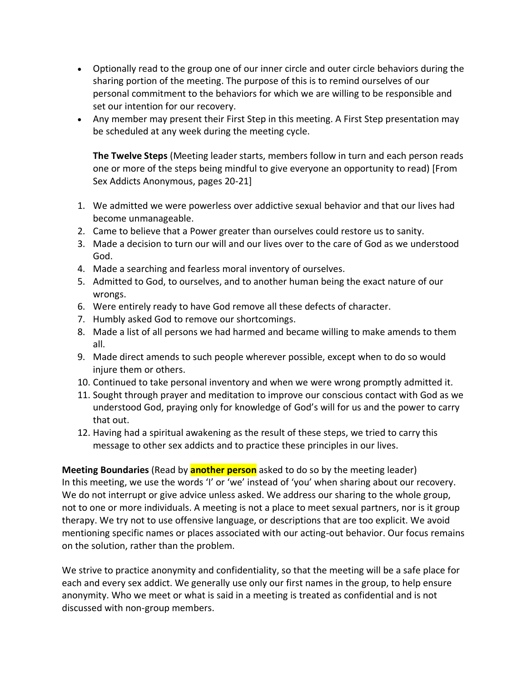- Optionally read to the group one of our inner circle and outer circle behaviors during the sharing portion of the meeting. The purpose of this is to remind ourselves of our personal commitment to the behaviors for which we are willing to be responsible and set our intention for our recovery.
- Any member may present their First Step in this meeting. A First Step presentation may be scheduled at any week during the meeting cycle.

**The Twelve Steps** (Meeting leader starts, members follow in turn and each person reads one or more of the steps being mindful to give everyone an opportunity to read) [From Sex Addicts Anonymous, pages 20-21]

- 1. We admitted we were powerless over addictive sexual behavior and that our lives had become unmanageable.
- 2. Came to believe that a Power greater than ourselves could restore us to sanity.
- 3. Made a decision to turn our will and our lives over to the care of God as we understood God.
- 4. Made a searching and fearless moral inventory of ourselves.
- 5. Admitted to God, to ourselves, and to another human being the exact nature of our wrongs.
- 6. Were entirely ready to have God remove all these defects of character.
- 7. Humbly asked God to remove our shortcomings.
- 8. Made a list of all persons we had harmed and became willing to make amends to them all.
- 9. Made direct amends to such people wherever possible, except when to do so would injure them or others.
- 10. Continued to take personal inventory and when we were wrong promptly admitted it.
- 11. Sought through prayer and meditation to improve our conscious contact with God as we understood God, praying only for knowledge of God's will for us and the power to carry that out.
- 12. Having had a spiritual awakening as the result of these steps, we tried to carry this message to other sex addicts and to practice these principles in our lives.

**Meeting Boundaries** (Read by **another person** asked to do so by the meeting leader) In this meeting, we use the words 'I' or 'we' instead of 'you' when sharing about our recovery. We do not interrupt or give advice unless asked. We address our sharing to the whole group, not to one or more individuals. A meeting is not a place to meet sexual partners, nor is it group therapy. We try not to use offensive language, or descriptions that are too explicit. We avoid mentioning specific names or places associated with our acting-out behavior. Our focus remains on the solution, rather than the problem.

We strive to practice anonymity and confidentiality, so that the meeting will be a safe place for each and every sex addict. We generally use only our first names in the group, to help ensure anonymity. Who we meet or what is said in a meeting is treated as confidential and is not discussed with non-group members.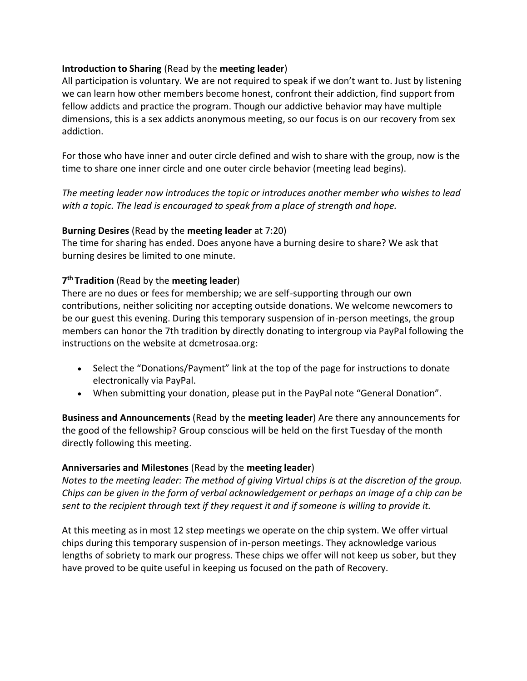### **Introduction to Sharing** (Read by the **meeting leader**)

All participation is voluntary. We are not required to speak if we don't want to. Just by listening we can learn how other members become honest, confront their addiction, find support from fellow addicts and practice the program. Though our addictive behavior may have multiple dimensions, this is a sex addicts anonymous meeting, so our focus is on our recovery from sex addiction.

For those who have inner and outer circle defined and wish to share with the group, now is the time to share one inner circle and one outer circle behavior (meeting lead begins).

*The meeting leader now introduces the topic or introduces another member who wishes to lead with a topic. The lead is encouraged to speak from a place of strength and hope.* 

### **Burning Desires** (Read by the **meeting leader** at 7:20)

The time for sharing has ended. Does anyone have a burning desire to share? We ask that burning desires be limited to one minute.

## **7th Tradition** (Read by the **meeting leader**)

There are no dues or fees for membership; we are self-supporting through our own contributions, neither soliciting nor accepting outside donations. We welcome newcomers to be our guest this evening. During this temporary suspension of in-person meetings, the group members can honor the 7th tradition by directly donating to intergroup via PayPal following the instructions on the website at dcmetrosaa.org:

- Select the "Donations/Payment" link at the top of the page for instructions to donate electronically via PayPal.
- When submitting your donation, please put in the PayPal note "General Donation".

**Business and Announcements** (Read by the **meeting leader**) Are there any announcements for the good of the fellowship? Group conscious will be held on the first Tuesday of the month directly following this meeting.

## **Anniversaries and Milestones** (Read by the **meeting leader**)

*Notes to the meeting leader: The method of giving Virtual chips is at the discretion of the group. Chips can be given in the form of verbal acknowledgement or perhaps an image of a chip can be sent to the recipient through text if they request it and if someone is willing to provide it.* 

At this meeting as in most 12 step meetings we operate on the chip system. We offer virtual chips during this temporary suspension of in-person meetings. They acknowledge various lengths of sobriety to mark our progress. These chips we offer will not keep us sober, but they have proved to be quite useful in keeping us focused on the path of Recovery.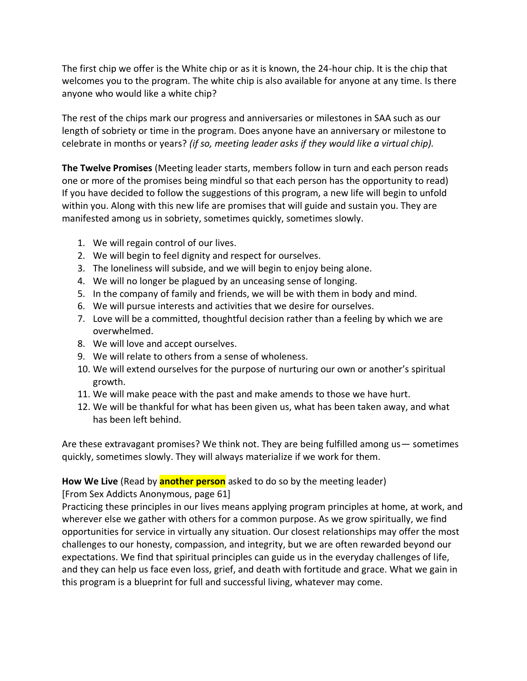The first chip we offer is the White chip or as it is known, the 24-hour chip. It is the chip that welcomes you to the program. The white chip is also available for anyone at any time. Is there anyone who would like a white chip?

The rest of the chips mark our progress and anniversaries or milestones in SAA such as our length of sobriety or time in the program. Does anyone have an anniversary or milestone to celebrate in months or years? *(if so, meeting leader asks if they would like a virtual chip).* 

**The Twelve Promises** (Meeting leader starts, members follow in turn and each person reads one or more of the promises being mindful so that each person has the opportunity to read) If you have decided to follow the suggestions of this program, a new life will begin to unfold within you. Along with this new life are promises that will guide and sustain you. They are manifested among us in sobriety, sometimes quickly, sometimes slowly.

- 1. We will regain control of our lives.
- 2. We will begin to feel dignity and respect for ourselves.
- 3. The loneliness will subside, and we will begin to enjoy being alone.
- 4. We will no longer be plagued by an unceasing sense of longing.
- 5. In the company of family and friends, we will be with them in body and mind.
- 6. We will pursue interests and activities that we desire for ourselves.
- 7. Love will be a committed, thoughtful decision rather than a feeling by which we are overwhelmed.
- 8. We will love and accept ourselves.
- 9. We will relate to others from a sense of wholeness.
- 10. We will extend ourselves for the purpose of nurturing our own or another's spiritual growth.
- 11. We will make peace with the past and make amends to those we have hurt.
- 12. We will be thankful for what has been given us, what has been taken away, and what has been left behind.

Are these extravagant promises? We think not. They are being fulfilled among us— sometimes quickly, sometimes slowly. They will always materialize if we work for them.

## **How We Live** (Read by **another person** asked to do so by the meeting leader)

[From Sex Addicts Anonymous, page 61]

Practicing these principles in our lives means applying program principles at home, at work, and wherever else we gather with others for a common purpose. As we grow spiritually, we find opportunities for service in virtually any situation. Our closest relationships may offer the most challenges to our honesty, compassion, and integrity, but we are often rewarded beyond our expectations. We find that spiritual principles can guide us in the everyday challenges of life, and they can help us face even loss, grief, and death with fortitude and grace. What we gain in this program is a blueprint for full and successful living, whatever may come.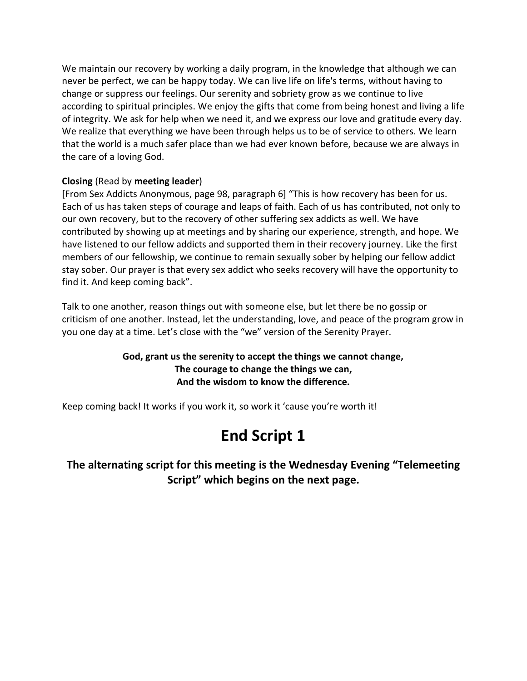We maintain our recovery by working a daily program, in the knowledge that although we can never be perfect, we can be happy today. We can live life on life's terms, without having to change or suppress our feelings. Our serenity and sobriety grow as we continue to live according to spiritual principles. We enjoy the gifts that come from being honest and living a life of integrity. We ask for help when we need it, and we express our love and gratitude every day. We realize that everything we have been through helps us to be of service to others. We learn that the world is a much safer place than we had ever known before, because we are always in the care of a loving God.

## **Closing** (Read by **meeting leader**)

[From Sex Addicts Anonymous, page 98, paragraph 6] "This is how recovery has been for us. Each of us has taken steps of courage and leaps of faith. Each of us has contributed, not only to our own recovery, but to the recovery of other suffering sex addicts as well. We have contributed by showing up at meetings and by sharing our experience, strength, and hope. We have listened to our fellow addicts and supported them in their recovery journey. Like the first members of our fellowship, we continue to remain sexually sober by helping our fellow addict stay sober. Our prayer is that every sex addict who seeks recovery will have the opportunity to find it. And keep coming back".

Talk to one another, reason things out with someone else, but let there be no gossip or criticism of one another. Instead, let the understanding, love, and peace of the program grow in you one day at a time. Let's close with the "we" version of the Serenity Prayer.

## **God, grant us the serenity to accept the things we cannot change, The courage to change the things we can, And the wisdom to know the difference.**

Keep coming back! It works if you work it, so work it 'cause you're worth it!

# **End Script 1**

**The alternating script for this meeting is the Wednesday Evening "Telemeeting Script" which begins on the next page.**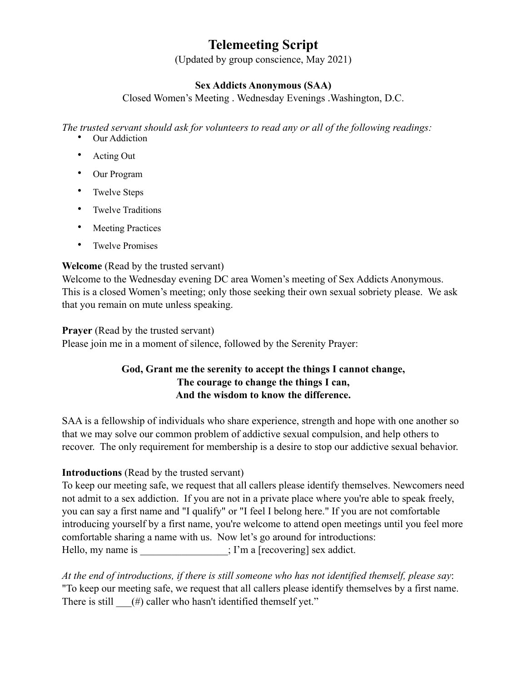## **Telemeeting Script**

(Updated by group conscience, May 2021)

## **Sex Addicts Anonymous (SAA)**

Closed Women's Meeting . Wednesday Evenings .Washington, D.C.

*The trusted servant should ask for volunteers to read any or all of the following readings:* 

- Our Addiction
- Acting Out
- Our Program
- Twelve Steps
- Twelve Traditions
- Meeting Practices
- Twelve Promises

## **Welcome** (Read by the trusted servant)

Welcome to the Wednesday evening DC area Women's meeting of Sex Addicts Anonymous. This is a closed Women's meeting; only those seeking their own sexual sobriety please. We ask that you remain on mute unless speaking.

## **Prayer** (Read by the trusted servant)

Please join me in a moment of silence, followed by the Serenity Prayer:

## **God, Grant me the serenity to accept the things I cannot change, The courage to change the things I can, And the wisdom to know the difference.**

SAA is a fellowship of individuals who share experience, strength and hope with one another so that we may solve our common problem of addictive sexual compulsion, and help others to recover. The only requirement for membership is a desire to stop our addictive sexual behavior.

## **Introductions** (Read by the trusted servant)

To keep our meeting safe, we request that all callers please identify themselves. Newcomers need not admit to a sex addiction. If you are not in a private place where you're able to speak freely, you can say a first name and "I qualify" or "I feel I belong here." If you are not comfortable introducing yourself by a first name, you're welcome to attend open meetings until you feel more comfortable sharing a name with us. Now let's go around for introductions: Hello, my name is  $\cdot$   $\cdot$  I'm a [recovering] sex addict.

*At the end of introductions, if there is still someone who has not identified themself, please say*: "To keep our meeting safe, we request that all callers please identify themselves by a first name. There is still  $(\#)$  caller who hasn't identified themself yet."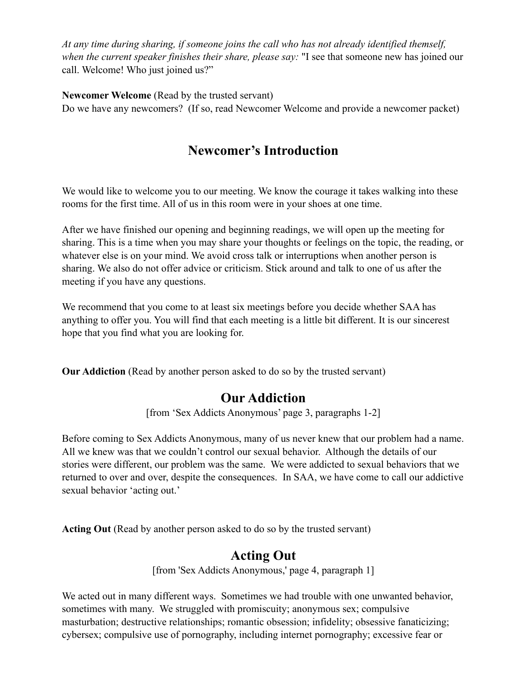*At any time during sharing, if someone joins the call who has not already identified themself, when the current speaker finishes their share, please say:* "I see that someone new has joined our call. Welcome! Who just joined us?"

**Newcomer Welcome** (Read by the trusted servant)

Do we have any newcomers? (If so, read Newcomer Welcome and provide a newcomer packet)

## **Newcomer's Introduction**

We would like to welcome you to our meeting. We know the courage it takes walking into these rooms for the first time. All of us in this room were in your shoes at one time.

After we have finished our opening and beginning readings, we will open up the meeting for sharing. This is a time when you may share your thoughts or feelings on the topic, the reading, or whatever else is on your mind. We avoid cross talk or interruptions when another person is sharing. We also do not offer advice or criticism. Stick around and talk to one of us after the meeting if you have any questions.

We recommend that you come to at least six meetings before you decide whether SAA has anything to offer you. You will find that each meeting is a little bit different. It is our sincerest hope that you find what you are looking for.

**Our Addiction** (Read by another person asked to do so by the trusted servant)

## **Our Addiction**

[from 'Sex Addicts Anonymous' page 3, paragraphs 1-2]

Before coming to Sex Addicts Anonymous, many of us never knew that our problem had a name. All we knew was that we couldn't control our sexual behavior. Although the details of our stories were different, our problem was the same. We were addicted to sexual behaviors that we returned to over and over, despite the consequences. In SAA, we have come to call our addictive sexual behavior 'acting out.'

**Acting Out** (Read by another person asked to do so by the trusted servant)

## **Acting Out**

[from 'Sex Addicts Anonymous,' page 4, paragraph 1]

We acted out in many different ways. Sometimes we had trouble with one unwanted behavior, sometimes with many. We struggled with promiscuity; anonymous sex; compulsive masturbation; destructive relationships; romantic obsession; infidelity; obsessive fanaticizing; cybersex; compulsive use of pornography, including internet pornography; excessive fear or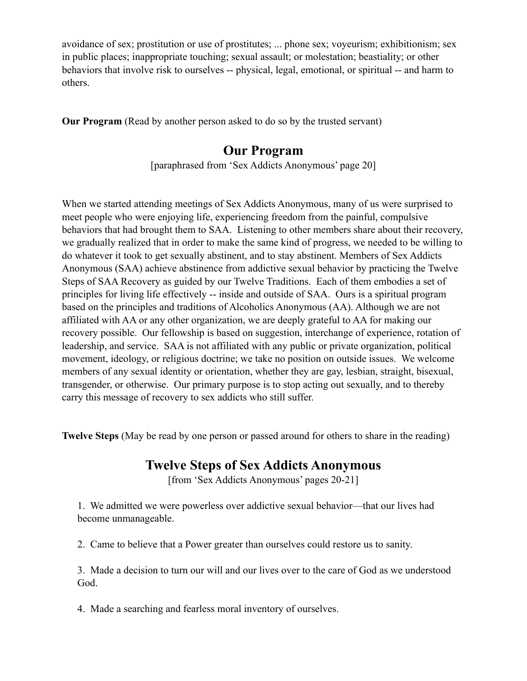avoidance of sex; prostitution or use of prostitutes; ... phone sex; voyeurism; exhibitionism; sex in public places; inappropriate touching; sexual assault; or molestation; beastiality; or other behaviors that involve risk to ourselves -- physical, legal, emotional, or spiritual -- and harm to others.

**Our Program** (Read by another person asked to do so by the trusted servant)

## **Our Program**

[paraphrased from 'Sex Addicts Anonymous' page 20]

When we started attending meetings of Sex Addicts Anonymous, many of us were surprised to meet people who were enjoying life, experiencing freedom from the painful, compulsive behaviors that had brought them to SAA. Listening to other members share about their recovery, we gradually realized that in order to make the same kind of progress, we needed to be willing to do whatever it took to get sexually abstinent, and to stay abstinent. Members of Sex Addicts Anonymous (SAA) achieve abstinence from addictive sexual behavior by practicing the Twelve Steps of SAA Recovery as guided by our Twelve Traditions. Each of them embodies a set of principles for living life effectively -- inside and outside of SAA. Ours is a spiritual program based on the principles and traditions of Alcoholics Anonymous (AA). Although we are not affiliated with AA or any other organization, we are deeply grateful to AA for making our recovery possible. Our fellowship is based on suggestion, interchange of experience, rotation of leadership, and service. SAA is not affiliated with any public or private organization, political movement, ideology, or religious doctrine; we take no position on outside issues. We welcome members of any sexual identity or orientation, whether they are gay, lesbian, straight, bisexual, transgender, or otherwise. Our primary purpose is to stop acting out sexually, and to thereby carry this message of recovery to sex addicts who still suffer.

**Twelve Steps** (May be read by one person or passed around for others to share in the reading)

## **Twelve Steps of Sex Addicts Anonymous**

[from 'Sex Addicts Anonymous' pages 20-21]

1. We admitted we were powerless over addictive sexual behavior—that our lives had become unmanageable.

2. Came to believe that a Power greater than ourselves could restore us to sanity.

3. Made a decision to turn our will and our lives over to the care of God as we understood God.

4. Made a searching and fearless moral inventory of ourselves.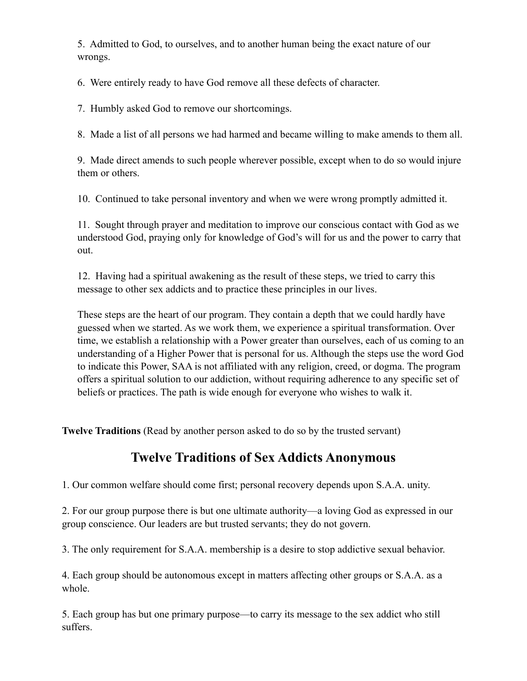5. Admitted to God, to ourselves, and to another human being the exact nature of our wrongs.

6. Were entirely ready to have God remove all these defects of character.

7. Humbly asked God to remove our shortcomings.

8. Made a list of all persons we had harmed and became willing to make amends to them all.

9. Made direct amends to such people wherever possible, except when to do so would injure them or others.

10. Continued to take personal inventory and when we were wrong promptly admitted it.

11. Sought through prayer and meditation to improve our conscious contact with God as we understood God, praying only for knowledge of God's will for us and the power to carry that out.

12. Having had a spiritual awakening as the result of these steps, we tried to carry this message to other sex addicts and to practice these principles in our lives.

These steps are the heart of our program. They contain a depth that we could hardly have guessed when we started. As we work them, we experience a spiritual transformation. Over time, we establish a relationship with a Power greater than ourselves, each of us coming to an understanding of a Higher Power that is personal for us. Although the steps use the word God to indicate this Power, SAA is not affiliated with any religion, creed, or dogma. The program offers a spiritual solution to our addiction, without requiring adherence to any specific set of beliefs or practices. The path is wide enough for everyone who wishes to walk it.

**Twelve Traditions** (Read by another person asked to do so by the trusted servant)

## **Twelve Traditions of Sex Addicts Anonymous**

1. Our common welfare should come first; personal recovery depends upon S.A.A. unity.

2. For our group purpose there is but one ultimate authority—a loving God as expressed in our group conscience. Our leaders are but trusted servants; they do not govern.

3. The only requirement for S.A.A. membership is a desire to stop addictive sexual behavior.

4. Each group should be autonomous except in matters affecting other groups or S.A.A. as a whole.

5. Each group has but one primary purpose—to carry its message to the sex addict who still suffers.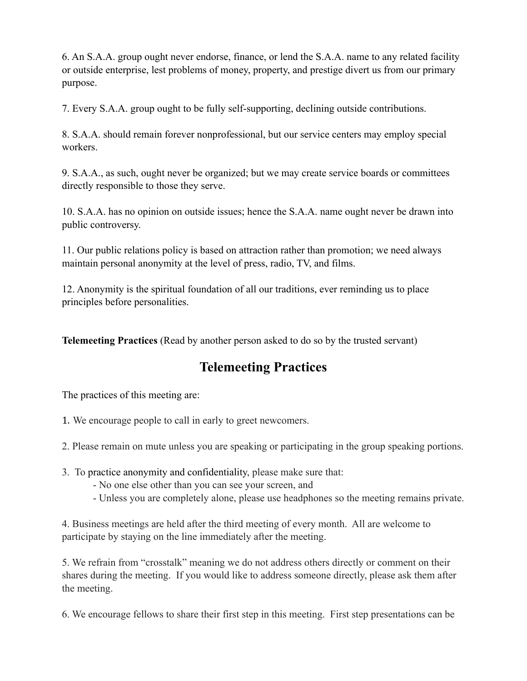6. An S.A.A. group ought never endorse, finance, or lend the S.A.A. name to any related facility or outside enterprise, lest problems of money, property, and prestige divert us from our primary purpose.

7. Every S.A.A. group ought to be fully self-supporting, declining outside contributions.

8. S.A.A. should remain forever nonprofessional, but our service centers may employ special workers.

9. S.A.A., as such, ought never be organized; but we may create service boards or committees directly responsible to those they serve.

10. S.A.A. has no opinion on outside issues; hence the S.A.A. name ought never be drawn into public controversy.

11. Our public relations policy is based on attraction rather than promotion; we need always maintain personal anonymity at the level of press, radio, TV, and films.

12. Anonymity is the spiritual foundation of all our traditions, ever reminding us to place principles before personalities.

**Telemeeting Practices** (Read by another person asked to do so by the trusted servant)

## **Telemeeting Practices**

The practices of this meeting are:

- 1. We encourage people to call in early to greet newcomers.
- 2. Please remain on mute unless you are speaking or participating in the group speaking portions.
- 3. To practice anonymity and confidentiality, please make sure that:
	- No one else other than you can see your screen, and
	- Unless you are completely alone, please use headphones so the meeting remains private.

4. Business meetings are held after the third meeting of every month. All are welcome to participate by staying on the line immediately after the meeting.

5. We refrain from "crosstalk" meaning we do not address others directly or comment on their shares during the meeting. If you would like to address someone directly, please ask them after the meeting.

6. We encourage fellows to share their first step in this meeting. First step presentations can be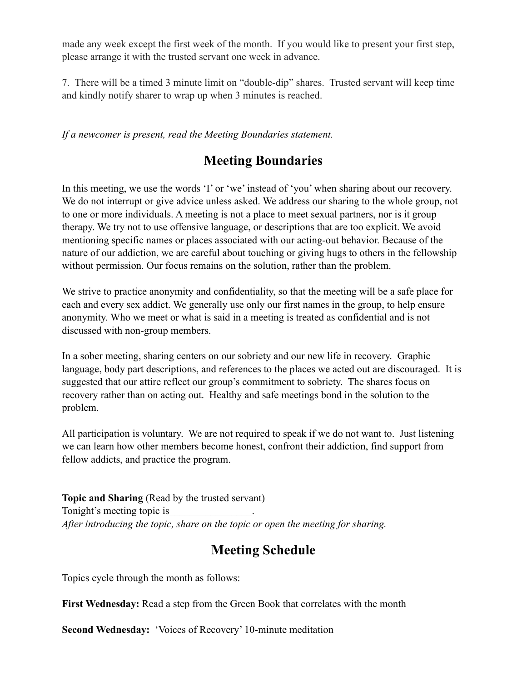made any week except the first week of the month. If you would like to present your first step, please arrange it with the trusted servant one week in advance.

7. There will be a timed 3 minute limit on "double-dip" shares. Trusted servant will keep time and kindly notify sharer to wrap up when 3 minutes is reached.

*If a newcomer is present, read the Meeting Boundaries statement.* 

## **Meeting Boundaries**

In this meeting, we use the words 'I' or 'we' instead of 'you' when sharing about our recovery. We do not interrupt or give advice unless asked. We address our sharing to the whole group, not to one or more individuals. A meeting is not a place to meet sexual partners, nor is it group therapy. We try not to use offensive language, or descriptions that are too explicit. We avoid mentioning specific names or places associated with our acting-out behavior. Because of the nature of our addiction, we are careful about touching or giving hugs to others in the fellowship without permission. Our focus remains on the solution, rather than the problem.

We strive to practice anonymity and confidentiality, so that the meeting will be a safe place for each and every sex addict. We generally use only our first names in the group, to help ensure anonymity. Who we meet or what is said in a meeting is treated as confidential and is not discussed with non-group members.

In a sober meeting, sharing centers on our sobriety and our new life in recovery. Graphic language, body part descriptions, and references to the places we acted out are discouraged. It is suggested that our attire reflect our group's commitment to sobriety. The shares focus on recovery rather than on acting out. Healthy and safe meetings bond in the solution to the problem.

All participation is voluntary. We are not required to speak if we do not want to. Just listening we can learn how other members become honest, confront their addiction, find support from fellow addicts, and practice the program.

**Topic and Sharing** (Read by the trusted servant) Tonight's meeting topic is\_\_\_\_\_\_\_\_\_\_\_\_\_\_\_\_. *After introducing the topic, share on the topic or open the meeting for sharing.* 

## **Meeting Schedule**

Topics cycle through the month as follows:

**First Wednesday:** Read a step from the Green Book that correlates with the month

**Second Wednesday:** 'Voices of Recovery' 10-minute meditation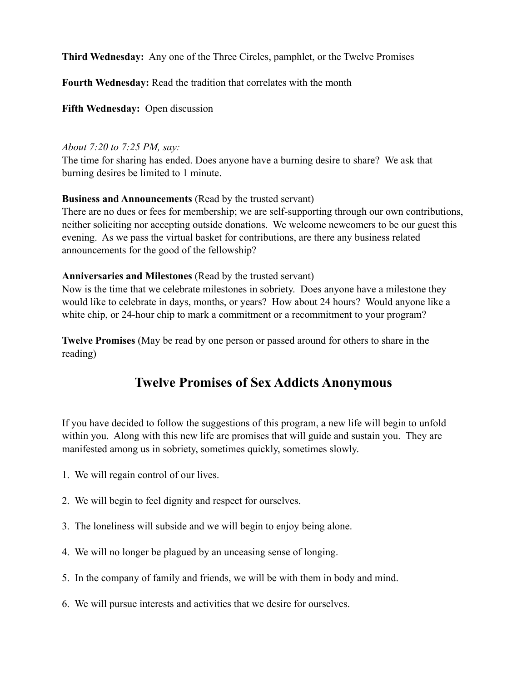**Third Wednesday:** Any one of the Three Circles, pamphlet, or the Twelve Promises

**Fourth Wednesday:** Read the tradition that correlates with the month

**Fifth Wednesday:** Open discussion

#### *About 7:20 to 7:25 PM, say:*

The time for sharing has ended. Does anyone have a burning desire to share? We ask that burning desires be limited to 1 minute.

## **Business and Announcements** (Read by the trusted servant)

There are no dues or fees for membership; we are self-supporting through our own contributions, neither soliciting nor accepting outside donations. We welcome newcomers to be our guest this evening. As we pass the virtual basket for contributions, are there any business related announcements for the good of the fellowship?

## **Anniversaries and Milestones** (Read by the trusted servant)

Now is the time that we celebrate milestones in sobriety. Does anyone have a milestone they would like to celebrate in days, months, or years? How about 24 hours? Would anyone like a white chip, or 24-hour chip to mark a commitment or a recommitment to your program?

**Twelve Promises** (May be read by one person or passed around for others to share in the reading)

## **Twelve Promises of Sex Addicts Anonymous**

If you have decided to follow the suggestions of this program, a new life will begin to unfold within you. Along with this new life are promises that will guide and sustain you. They are manifested among us in sobriety, sometimes quickly, sometimes slowly.

- 1. We will regain control of our lives.
- 2. We will begin to feel dignity and respect for ourselves.
- 3. The loneliness will subside and we will begin to enjoy being alone.
- 4. We will no longer be plagued by an unceasing sense of longing.
- 5. In the company of family and friends, we will be with them in body and mind.
- 6. We will pursue interests and activities that we desire for ourselves.